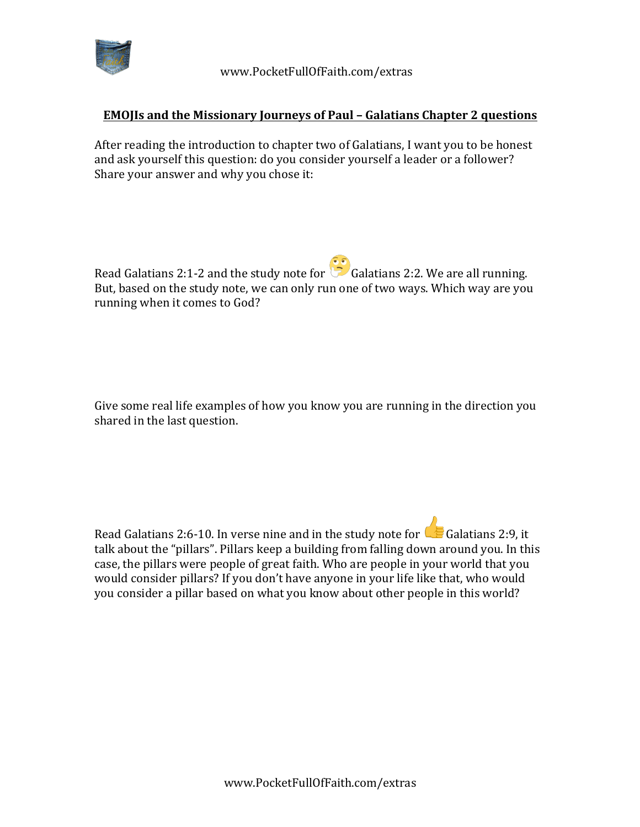

## **EMOJIs and the Missionary Journeys of Paul - Galatians Chapter 2 questions**

After reading the introduction to chapter two of Galatians, I want you to be honest and ask yourself this question: do you consider yourself a leader or a follower? Share your answer and why you chose it:

Read Galatians 2:1-2 and the study note for  $\overline{\mathcal{L}}$  Galatians 2:2. We are all running. But, based on the study note, we can only run one of two ways. Which way are you running when it comes to God?

Give some real life examples of how you know you are running in the direction you shared in the last question.

Read Galatians 2:6-10. In verse nine and in the study note for  $\bigcup$  Galatians 2:9, it talk about the "pillars". Pillars keep a building from falling down around you. In this case, the pillars were people of great faith. Who are people in your world that you would consider pillars? If you don't have anyone in your life like that, who would you consider a pillar based on what you know about other people in this world?